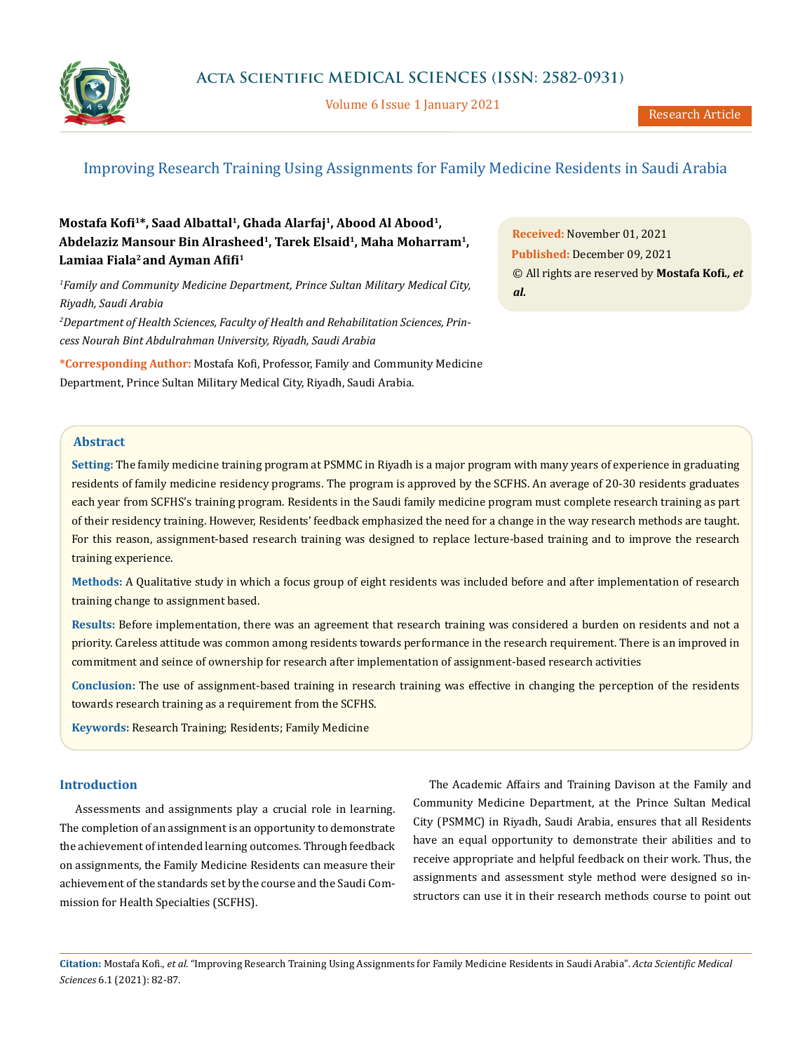

Volume 6 Issue 1 January 2021

# Improving Research Training Using Assignments for Family Medicine Residents in Saudi Arabia

## **Mostafa Kofi1\*, Saad Albattal1, Ghada Alarfaj1, Abood Al Abood1, Abdelaziz Mansour Bin Alrasheed<sup>1</sup>, Tarek Elsaid1, Maha Moharram1, Lamiaa Fiala<sup>2</sup>and Ayman Afifi<sup>1</sup>**

*1 Family and Community Medicine Department, Prince Sultan Military Medical City, Riyadh, Saudi Arabia*

*2 Department of Health Sciences, Faculty of Health and Rehabilitation Sciences, Princess Nourah Bint Abdulrahman University, Riyadh, Saudi Arabia*

**\*Corresponding Author:** Mostafa Kofi, Professor, Family and Community Medicine Department, Prince Sultan Military Medical City, Riyadh, Saudi Arabia.

**Received:** November 01, 2021 **Published:** December 09, 2021 © All rights are reserved by **Mostafa Kofi***., et al.*

## **Abstract**

**Setting:** The family medicine training program at PSMMC in Riyadh is a major program with many years of experience in graduating residents of family medicine residency programs. The program is approved by the SCFHS. An average of 20-30 residents graduates each year from SCFHS's training program. Residents in the Saudi family medicine program must complete research training as part of their residency training. However, Residents' feedback emphasized the need for a change in the way research methods are taught. For this reason, assignment-based research training was designed to replace lecture-based training and to improve the research training experience.

**Methods:** A Qualitative study in which a focus group of eight residents was included before and after implementation of research training change to assignment based.

**Results:** Before implementation, there was an agreement that research training was considered a burden on residents and not a priority. Careless attitude was common among residents towards performance in the research requirement. There is an improved in commitment and seince of ownership for research after implementation of assignment-based research activities

**Conclusion:** The use of assignment-based training in research training was effective in changing the perception of the residents towards research training as a requirement from the SCFHS.

**Keywords:** Research Training; Residents; Family Medicine

### **Introduction**

Assessments and assignments play a crucial role in learning. The completion of an assignment is an opportunity to demonstrate the achievement of intended learning outcomes. Through feedback on assignments, the Family Medicine Residents can measure their achievement of the standards set by the course and the Saudi Commission for Health Specialties (SCFHS).

The Academic Affairs and Training Davison at the Family and Community Medicine Department, at the Prince Sultan Medical City (PSMMC) in Riyadh, Saudi Arabia, ensures that all Residents have an equal opportunity to demonstrate their abilities and to receive appropriate and helpful feedback on their work. Thus, the assignments and assessment style method were designed so instructors can use it in their research methods course to point out

**Citation:** Mostafa Kofi*., et al.* "Improving Research Training Using Assignments for Family Medicine Residents in Saudi Arabia". *Acta Scientific Medical Sciences* 6.1 (2021): 82-87.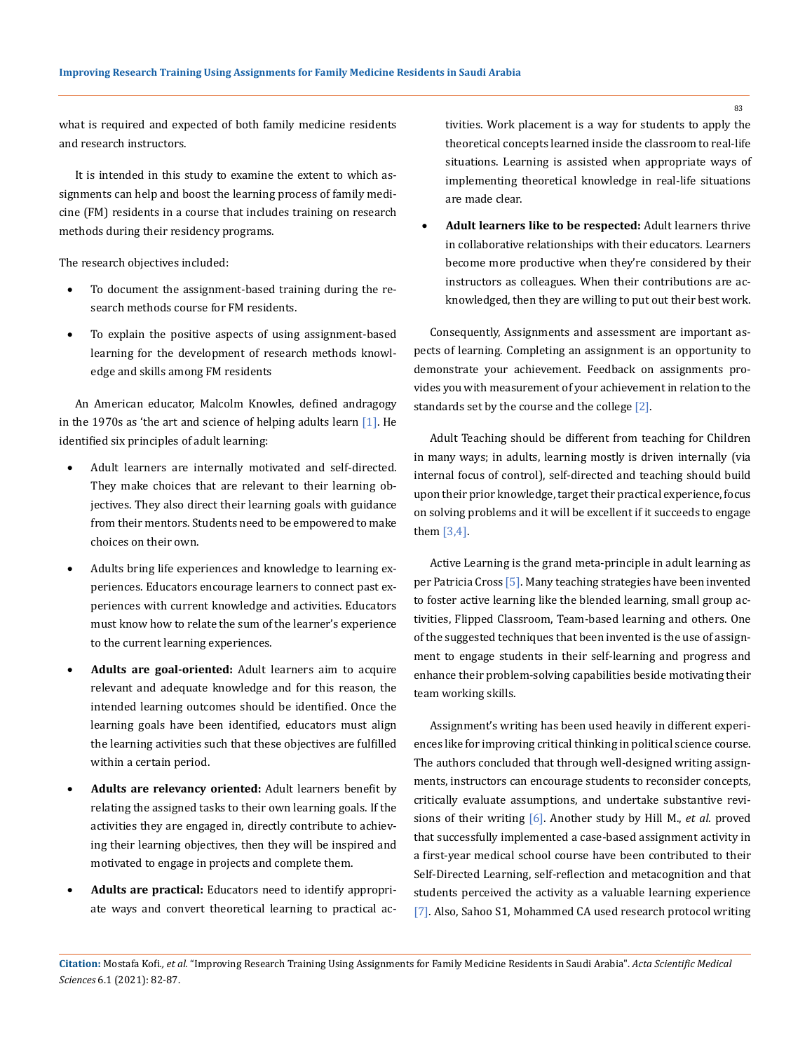what is required and expected of both family medicine residents and research instructors.

It is intended in this study to examine the extent to which assignments can help and boost the learning process of family medicine (FM) residents in a course that includes training on research methods during their residency programs.

The research objectives included:

- To document the assignment-based training during the research methods course for FM residents.
- To explain the positive aspects of using assignment-based learning for the development of research methods knowledge and skills among FM residents

An American educator, Malcolm Knowles, defined andragogy in the 1970s as 'the art and science of helping adults learn  $[1]$ . He identified six principles of adult learning:

- Adult learners are internally motivated and self-directed. They make choices that are relevant to their learning objectives. They also direct their learning goals with guidance from their mentors. Students need to be empowered to make choices on their own.
- Adults bring life experiences and knowledge to learning experiences. Educators encourage learners to connect past experiences with current knowledge and activities. Educators must know how to relate the sum of the learner's experience to the current learning experiences.
- Adults are goal-oriented: Adult learners aim to acquire relevant and adequate knowledge and for this reason, the intended learning outcomes should be identified. Once the learning goals have been identified, educators must align the learning activities such that these objectives are fulfilled within a certain period.
- Adults are relevancy oriented: Adult learners benefit by relating the assigned tasks to their own learning goals. If the activities they are engaged in, directly contribute to achieving their learning objectives, then they will be inspired and motivated to engage in projects and complete them.
- Adults are practical: Educators need to identify appropriate ways and convert theoretical learning to practical ac-

tivities. Work placement is a way for students to apply the theoretical concepts learned inside the classroom to real-life situations. Learning is assisted when appropriate ways of implementing theoretical knowledge in real-life situations are made clear.

Adult learners like to be respected: Adult learners thrive in collaborative relationships with their educators. Learners become more productive when they're considered by their instructors as colleagues. When their contributions are acknowledged, then they are willing to put out their best work.

Consequently, Assignments and assessment are important aspects of learning. Completing an assignment is an opportunity to demonstrate your achievement. Feedback on assignments provides you with measurement of your achievement in relation to the standards set by the course and the college [2].

Adult Teaching should be different from teaching for Children in many ways; in adults, learning mostly is driven internally (via internal focus of control), self-directed and teaching should build upon their prior knowledge, target their practical experience, focus on solving problems and it will be excellent if it succeeds to engage them [3,4].

Active Learning is the grand meta-principle in adult learning as per Patricia Cross [5]. Many teaching strategies have been invented to foster active learning like the blended learning, small group activities, Flipped Classroom, Team-based learning and others. One of the suggested techniques that been invented is the use of assignment to engage students in their self-learning and progress and enhance their problem-solving capabilities beside motivating their team working skills.

Assignment's writing has been used heavily in different experiences like for improving critical thinking in political science course. The authors concluded that through well-designed writing assignments, instructors can encourage students to reconsider concepts, critically evaluate assumptions, and undertake substantive revisions of their writing [6]. Another study by Hill M., *et al*. proved that successfully implemented a case-based assignment activity in a first-year medical school course have been contributed to their Self-Directed Learning, self-reflection and metacognition and that students perceived the activity as a valuable learning experience [7]. Also, Sahoo S1, Mohammed CA used research protocol writing

**Citation:** Mostafa Kofi*., et al.* "Improving Research Training Using Assignments for Family Medicine Residents in Saudi Arabia". *Acta Scientific Medical Sciences* 6.1 (2021): 82-87.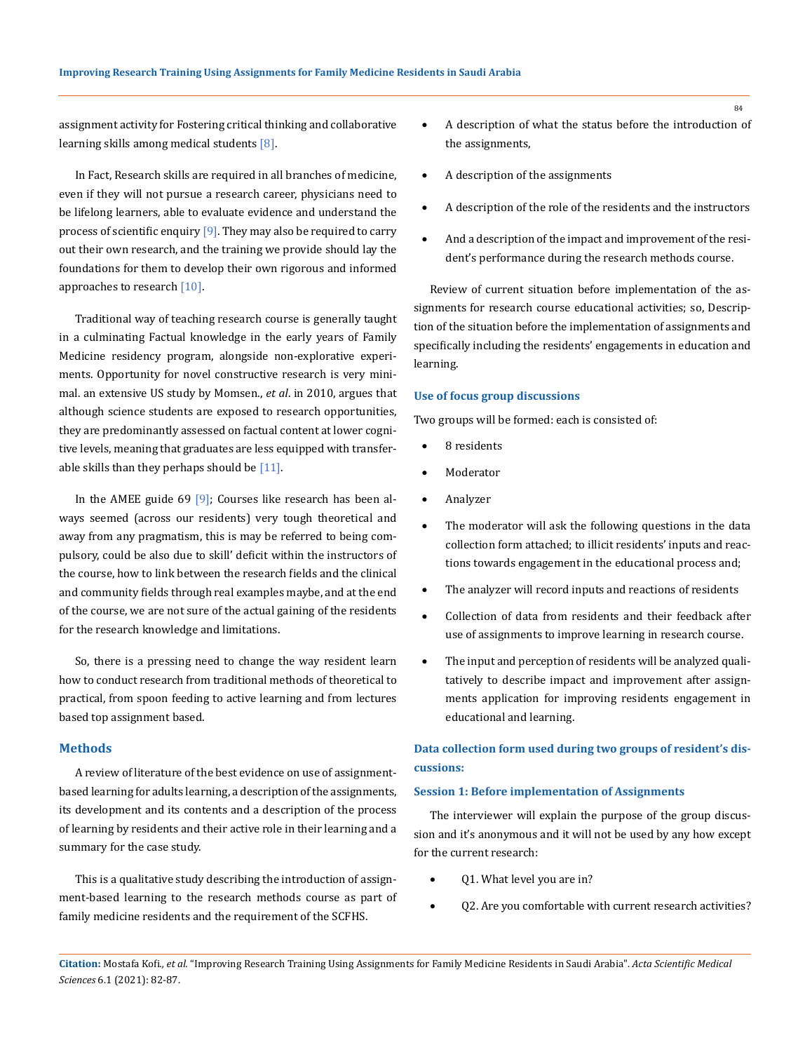assignment activity for Fostering critical thinking and collaborative learning skills among medical students [8].

In Fact, Research skills are required in all branches of medicine, even if they will not pursue a research career, physicians need to be lifelong learners, able to evaluate evidence and understand the process of scientific enquiry  $[9]$ . They may also be required to carry out their own research, and the training we provide should lay the foundations for them to develop their own rigorous and informed approaches to research [10].

Traditional way of teaching research course is generally taught in a culminating Factual knowledge in the early years of Family Medicine residency program, alongside non-explorative experiments. Opportunity for novel constructive research is very minimal. an extensive US study by Momsen., *et al*. in 2010, argues that although science students are exposed to research opportunities, they are predominantly assessed on factual content at lower cognitive levels, meaning that graduates are less equipped with transferable skills than they perhaps should be  $[11]$ .

In the AMEE guide 69 [9]; Courses like research has been always seemed (across our residents) very tough theoretical and away from any pragmatism, this is may be referred to being compulsory, could be also due to skill' deficit within the instructors of the course, how to link between the research fields and the clinical and community fields through real examples maybe, and at the end of the course, we are not sure of the actual gaining of the residents for the research knowledge and limitations.

So, there is a pressing need to change the way resident learn how to conduct research from traditional methods of theoretical to practical, from spoon feeding to active learning and from lectures based top assignment based.

### **Methods**

A review of literature of the best evidence on use of assignmentbased learning for adults learning, a description of the assignments, its development and its contents and a description of the process of learning by residents and their active role in their learning and a summary for the case study.

This is a qualitative study describing the introduction of assignment-based learning to the research methods course as part of family medicine residents and the requirement of the SCFHS.

- A description of what the status before the introduction of the assignments,
- A description of the assignments
- A description of the role of the residents and the instructors
- And a description of the impact and improvement of the resident's performance during the research methods course.

Review of current situation before implementation of the assignments for research course educational activities; so, Description of the situation before the implementation of assignments and specifically including the residents' engagements in education and learning.

#### **Use of focus group discussions**

Two groups will be formed: each is consisted of:

- 8 residents
- **Moderator**
- **Analyzer**
- The moderator will ask the following questions in the data collection form attached; to illicit residents' inputs and reactions towards engagement in the educational process and;
- The analyzer will record inputs and reactions of residents
- Collection of data from residents and their feedback after use of assignments to improve learning in research course.
- The input and perception of residents will be analyzed qualitatively to describe impact and improvement after assignments application for improving residents engagement in educational and learning.

## **Data collection form used during two groups of resident's discussions:**

#### **Session 1: Before implementation of Assignments**

The interviewer will explain the purpose of the group discussion and it's anonymous and it will not be used by any how except for the current research:

- Q1. What level you are in?
- Q2. Are you comfortable with current research activities?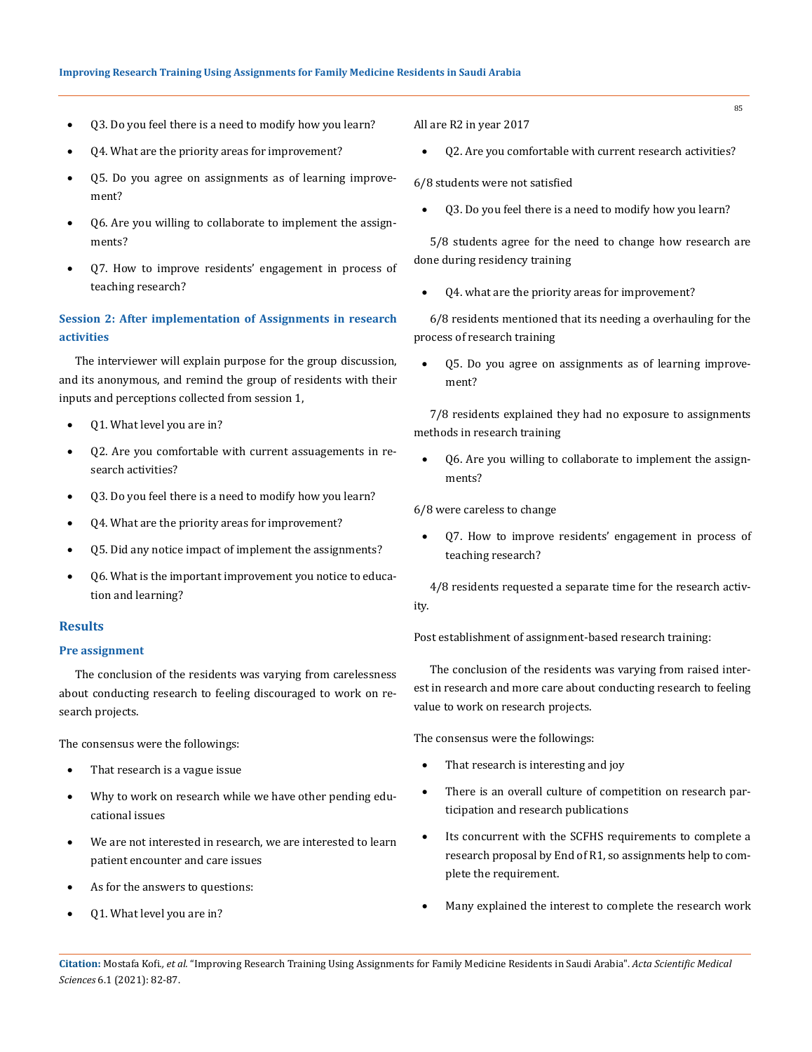- Q3. Do you feel there is a need to modify how you learn?
- Q4. What are the priority areas for improvement?
- Q5. Do you agree on assignments as of learning improvement?
- Q6. Are you willing to collaborate to implement the assignments?
- Q7. How to improve residents' engagement in process of teaching research?

## **Session 2: After implementation of Assignments in research activities**

The interviewer will explain purpose for the group discussion, and its anonymous, and remind the group of residents with their inputs and perceptions collected from session 1,

- Q1. What level you are in?
- Q2. Are you comfortable with current assuagements in research activities?
- Q3. Do you feel there is a need to modify how you learn?
- Q4. What are the priority areas for improvement?
- Q5. Did any notice impact of implement the assignments?
- Q6. What is the important improvement you notice to education and learning?

## **Results**

#### **Pre assignment**

The conclusion of the residents was varying from carelessness about conducting research to feeling discouraged to work on research projects.

The consensus were the followings:

- That research is a vague issue
- Why to work on research while we have other pending educational issues
- We are not interested in research, we are interested to learn patient encounter and care issues
- As for the answers to questions:
- Q1. What level you are in?

All are R2 in year 2017

Q2. Are you comfortable with current research activities?

6/8 students were not satisfied

Q3. Do you feel there is a need to modify how you learn?

5/8 students agree for the need to change how research are done during residency training

Q4. what are the priority areas for improvement?

6/8 residents mentioned that its needing a overhauling for the process of research training

Q5. Do you agree on assignments as of learning improvement?

7/8 residents explained they had no exposure to assignments methods in research training

Q6. Are you willing to collaborate to implement the assignments?

6/8 were careless to change

Q7. How to improve residents' engagement in process of teaching research?

4/8 residents requested a separate time for the research activity.

Post establishment of assignment-based research training:

The conclusion of the residents was varying from raised interest in research and more care about conducting research to feeling value to work on research projects.

The consensus were the followings:

- That research is interesting and joy
- There is an overall culture of competition on research participation and research publications
- Its concurrent with the SCFHS requirements to complete a research proposal by End of R1, so assignments help to complete the requirement.
- Many explained the interest to complete the research work

**Citation:** Mostafa Kofi*., et al.* "Improving Research Training Using Assignments for Family Medicine Residents in Saudi Arabia". *Acta Scientific Medical Sciences* 6.1 (2021): 82-87.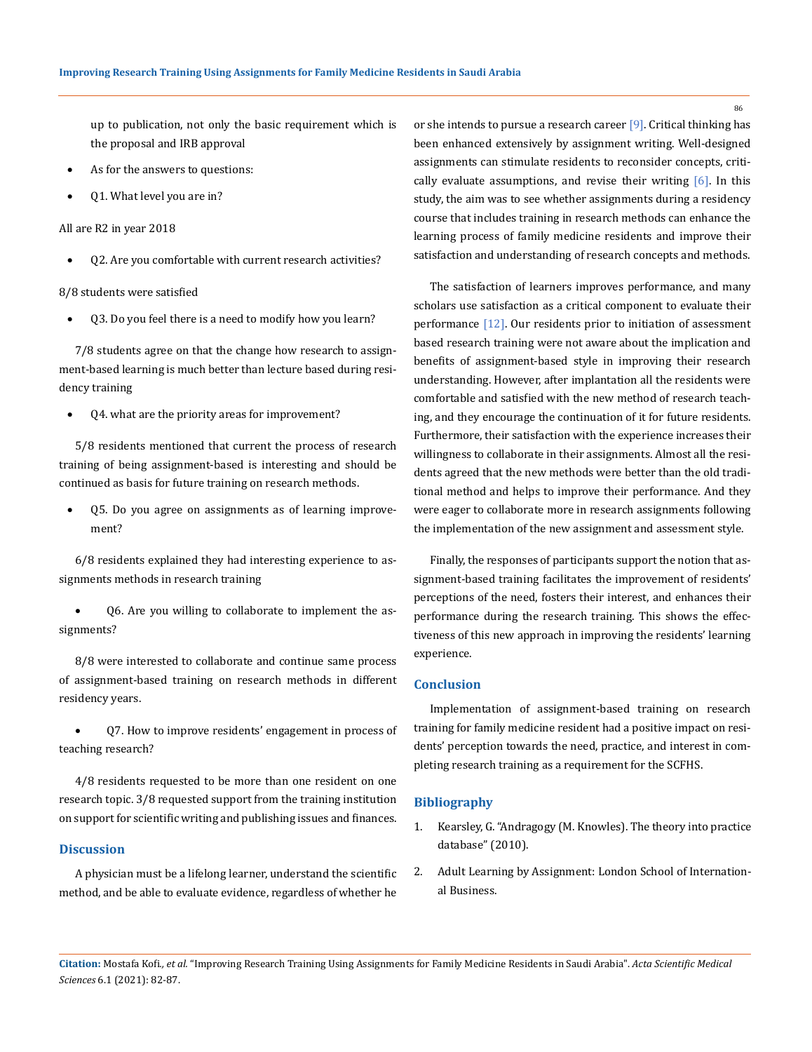up to publication, not only the basic requirement which is the proposal and IRB approval

- As for the answers to questions:
- Q1. What level you are in?

All are R2 in year 2018

Q2. Are you comfortable with current research activities?

8/8 students were satisfied

Q3. Do you feel there is a need to modify how you learn?

7/8 students agree on that the change how research to assignment-based learning is much better than lecture based during residency training

Q4. what are the priority areas for improvement?

5/8 residents mentioned that current the process of research training of being assignment-based is interesting and should be continued as basis for future training on research methods.

Q5. Do you agree on assignments as of learning improvement?

6/8 residents explained they had interesting experience to assignments methods in research training

06. Are you willing to collaborate to implement the assignments?

8/8 were interested to collaborate and continue same process of assignment-based training on research methods in different residency years.

Q7. How to improve residents' engagement in process of teaching research?

4/8 residents requested to be more than one resident on one research topic. 3/8 requested support from the training institution on support for scientific writing and publishing issues and finances.

## **Discussion**

A physician must be a lifelong learner, understand the scientific method, and be able to evaluate evidence, regardless of whether he or she intends to pursue a research career [9]. Critical thinking has been enhanced extensively by assignment writing. Well-designed assignments can stimulate residents to reconsider concepts, critically evaluate assumptions, and revise their writing  $[6]$ . In this study, the aim was to see whether assignments during a residency course that includes training in research methods can enhance the learning process of family medicine residents and improve their satisfaction and understanding of research concepts and methods.

The satisfaction of learners improves performance, and many scholars use satisfaction as a critical component to evaluate their performance  $[12]$ . Our residents prior to initiation of assessment based research training were not aware about the implication and benefits of assignment-based style in improving their research understanding. However, after implantation all the residents were comfortable and satisfied with the new method of research teaching, and they encourage the continuation of it for future residents. Furthermore, their satisfaction with the experience increases their willingness to collaborate in their assignments. Almost all the residents agreed that the new methods were better than the old traditional method and helps to improve their performance. And they were eager to collaborate more in research assignments following the implementation of the new assignment and assessment style.

Finally, the responses of participants support the notion that assignment-based training facilitates the improvement of residents' perceptions of the need, fosters their interest, and enhances their performance during the research training. This shows the effectiveness of this new approach in improving the residents' learning experience.

### **Conclusion**

Implementation of assignment-based training on research training for family medicine resident had a positive impact on residents' perception towards the need, practice, and interest in completing research training as a requirement for the SCFHS.

### **Bibliography**

- 1. Kearsley, G. "Andragogy (M. Knowles). The theory into practice database" (2010).
- 2. [Adult Learning by Assignment: London School of Internation](https://www.lsib.co.uk/assignment-based-learning.html)[al Business.](https://www.lsib.co.uk/assignment-based-learning.html)

**Citation:** Mostafa Kofi*., et al.* "Improving Research Training Using Assignments for Family Medicine Residents in Saudi Arabia". *Acta Scientific Medical Sciences* 6.1 (2021): 82-87.